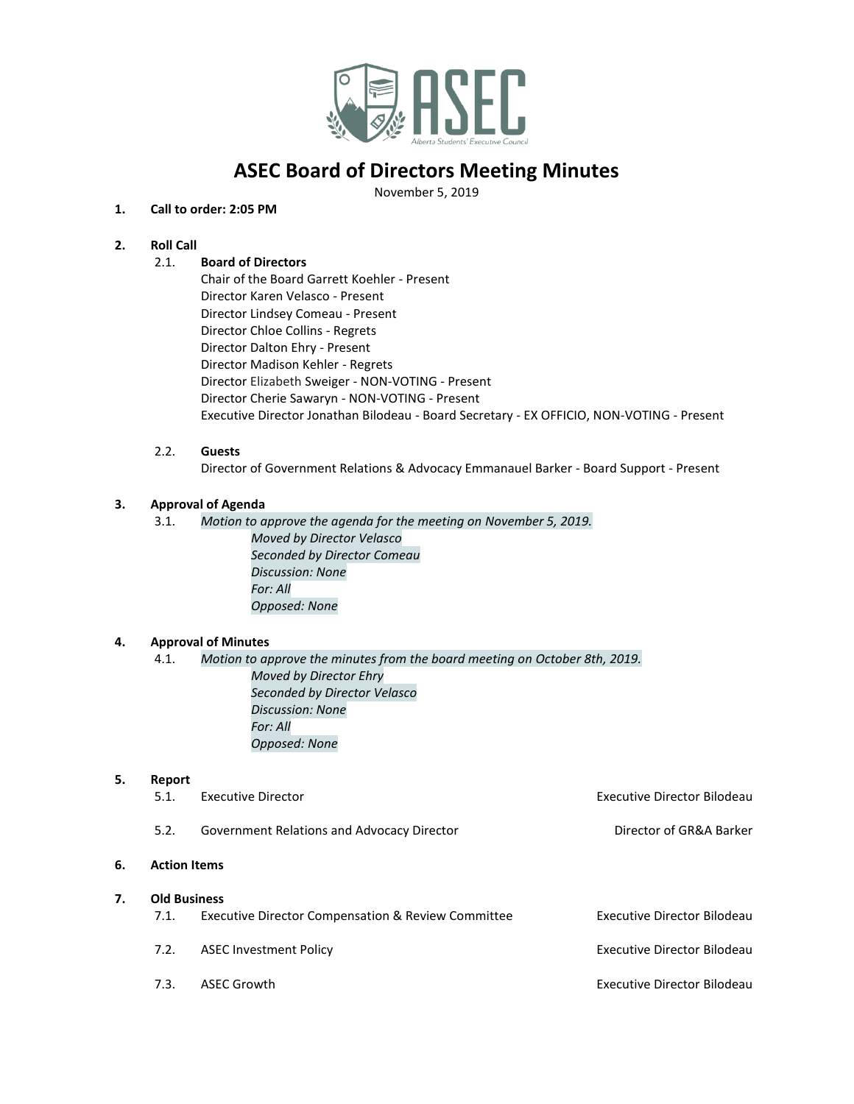

## **ASEC Board of Directors Meeting Minutes**

November 5, 2019

## **1. Call to order: 2:05 PM**

## **2. Roll Call**

## 2.1. **Board of Directors**

Chair of the Board Garrett Koehler - Present Director Karen Velasco - Present Director Lindsey Comeau - Present Director Chloe Collins - Regrets Director Dalton Ehry - Present Director Madison Kehler - Regrets Director Elizabeth Sweiger - NON-VOTING - Present Director Cherie Sawaryn - NON-VOTING - Present Executive Director Jonathan Bilodeau - Board Secretary - EX OFFICIO, NON-VOTING - Present

### 2.2. **Guests**

Director of Government Relations & Advocacy Emmanauel Barker - Board Support - Present

## **3. Approval of Agenda**

3.1. *Motion to approve the agenda for the meeting on November 5, 2019. Moved by Director Velasco Seconded by Director Comeau Discussion: None For: All Opposed: None*

## **4. Approval of Minutes**

4.1. *Motion to approve the minutes from the board meeting on October 8th, 2019. Moved by Director Ehry Seconded by Director Velasco Discussion: None For: All Opposed: None*

### **5. Report**

|    | 5.1.                | Executive Director                                            | <b>Executive Director Bilodeau</b> |
|----|---------------------|---------------------------------------------------------------|------------------------------------|
|    | 5.2.                | Government Relations and Advocacy Director                    | Director of GR&A Barker            |
| 6. | <b>Action Items</b> |                                                               |                                    |
| 7. | <b>Old Business</b> |                                                               |                                    |
|    | 7.1.                | <b>Executive Director Compensation &amp; Review Committee</b> | <b>Executive Director Bilodeau</b> |
|    | 7.2.                | <b>ASEC Investment Policy</b>                                 | <b>Executive Director Bilodeau</b> |
|    | 7.3.                | <b>ASEC Growth</b>                                            | Executive Director Bilodeau        |